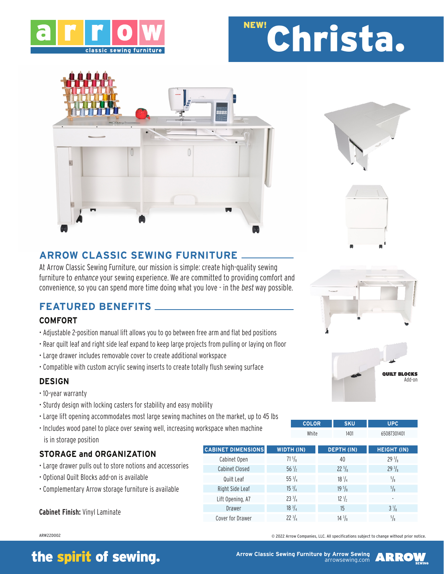

# Christa. NEW!







## **ARROW CLASSIC SEWING FURNITURE**

At Arrow Classic Sewing Furniture, our mission is simple: create high-quality sewing furniture to enhance your sewing experience. We are committed to providing comfort and convenience, so you can spend more time doing what you love - in the best way possible.

## **FEATURED BENEFITS**

### **COMFORT**

- Adjustable 2-position manual lift allows you to go between free arm and flat bed positions
- Rear quilt leaf and right side leaf expand to keep large projects from pulling or laying on floor
- Large drawer includes removable cover to create additional workspace
- Compatible with custom acrylic sewing inserts to create totally flush sewing surface

### **DESIGN**

- 10-year warranty
- Sturdy design with locking casters for stability and easy mobility
- Large lift opening accommodates most large sewing machines on the market, up to 45 lbs
- Includes wood panel to place over sewing well, increasing workspace when machine is in storage position



### **STORAGE and ORGANIZATION**

- Large drawer pulls out to store notions and accessories
- Optional Quilt Blocks add-on is available
- Complementary Arrow storage furniture is available

### **Cabinet Finish:** Vinyl Laminate

#### ARW22D002

# the spirit of sewing.

**Arrow Classic Sewing Furniture by Arrow Sewing** 

© 2022 Arrow Companies, LLC. All specifications subject to change without prior notice.

arrowsewing.com







| <b>COLOR</b>   | <b>SKU</b> | upc'       |
|----------------|------------|------------|
| <b>1800 TO</b> | 1.01       | 2007001101 |